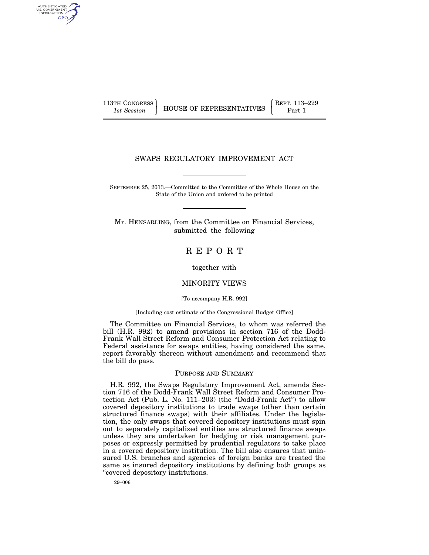AUTHENTICATED U.S. GOVERNMENT GPO

113TH CONGRESS **REPRESENTATIVES** REPRESENTATIVES **Part 1** 

## SWAPS REGULATORY IMPROVEMENT ACT

SEPTEMBER 25, 2013.—Committed to the Committee of the Whole House on the State of the Union and ordered to be printed

Mr. HENSARLING, from the Committee on Financial Services, submitted the following

## R E P O R T

together with

#### MINORITY VIEWS

[To accompany H.R. 992]

#### [Including cost estimate of the Congressional Budget Office]

The Committee on Financial Services, to whom was referred the bill (H.R. 992) to amend provisions in section 716 of the Dodd-Frank Wall Street Reform and Consumer Protection Act relating to Federal assistance for swaps entities, having considered the same, report favorably thereon without amendment and recommend that the bill do pass.

#### PURPOSE AND SUMMARY

H.R. 992, the Swaps Regulatory Improvement Act, amends Section 716 of the Dodd-Frank Wall Street Reform and Consumer Protection Act (Pub. L. No. 111–203) (the ''Dodd-Frank Act'') to allow covered depository institutions to trade swaps (other than certain structured finance swaps) with their affiliates. Under the legislation, the only swaps that covered depository institutions must spin out to separately capitalized entities are structured finance swaps unless they are undertaken for hedging or risk management purposes or expressly permitted by prudential regulators to take place in a covered depository institution. The bill also ensures that uninsured U.S. branches and agencies of foreign banks are treated the same as insured depository institutions by defining both groups as ''covered depository institutions.

29–006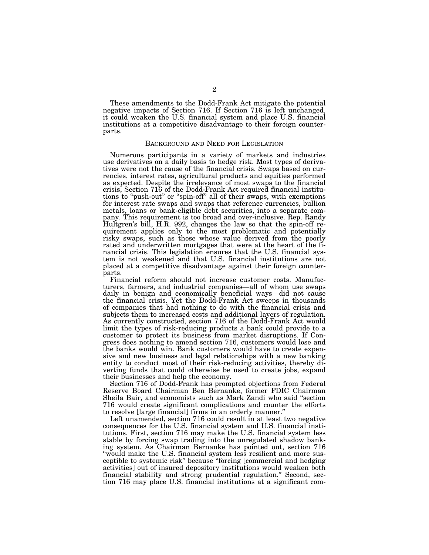These amendments to the Dodd-Frank Act mitigate the potential negative impacts of Section 716. If Section 716 is left unchanged, it could weaken the U.S. financial system and place U.S. financial institutions at a competitive disadvantage to their foreign counterparts.

#### BACKGROUND AND NEED FOR LEGISLATION

Numerous participants in a variety of markets and industries use derivatives on a daily basis to hedge risk. Most types of derivatives were not the cause of the financial crisis. Swaps based on currencies, interest rates, agricultural products and equities performed as expected. Despite the irrelevance of most swaps to the financial crisis, Section 716 of the Dodd-Frank Act required financial institutions to "push-out" or "spin-off" all of their swaps, with exemptions for interest rate swaps and swaps that reference currencies, bullion metals, loans or bank-eligible debt securities, into a separate company. This requirement is too broad and over-inclusive. Rep. Randy Hultgren's bill, H.R. 992, changes the law so that the spin-off requirement applies only to the most problematic and potentially risky swaps, such as those whose value derived from the poorly rated and underwritten mortgages that were at the heart of the financial crisis. This legislation ensures that the U.S. financial system is not weakened and that U.S. financial institutions are not placed at a competitive disadvantage against their foreign counterparts.

Financial reform should not increase customer costs. Manufacturers, farmers, and industrial companies—all of whom use swaps daily in benign and economically beneficial ways—did not cause the financial crisis. Yet the Dodd-Frank Act sweeps in thousands of companies that had nothing to do with the financial crisis and subjects them to increased costs and additional layers of regulation. As currently constructed, section 716 of the Dodd-Frank Act would limit the types of risk-reducing products a bank could provide to a customer to protect its business from market disruptions. If Congress does nothing to amend section 716, customers would lose and the banks would win. Bank customers would have to create expensive and new business and legal relationships with a new banking entity to conduct most of their risk-reducing activities, thereby diverting funds that could otherwise be used to create jobs, expand their businesses and help the economy.

Section 716 of Dodd-Frank has prompted objections from Federal Reserve Board Chairman Ben Bernanke, former FDIC Chairman Sheila Bair, and economists such as Mark Zandi who said ''section 716 would create significant complications and counter the efforts to resolve [large financial] firms in an orderly manner.''

Left unamended, section 716 could result in at least two negative consequences for the U.S. financial system and U.S. financial institutions. First, section 716 may make the U.S. financial system less stable by forcing swap trading into the unregulated shadow banking system. As Chairman Bernanke has pointed out, section 716 "would make the U.S. financial system less resilient and more susceptible to systemic risk'' because ''forcing [commercial and hedging activities] out of insured depository institutions would weaken both financial stability and strong prudential regulation.'' Second, section 716 may place U.S. financial institutions at a significant com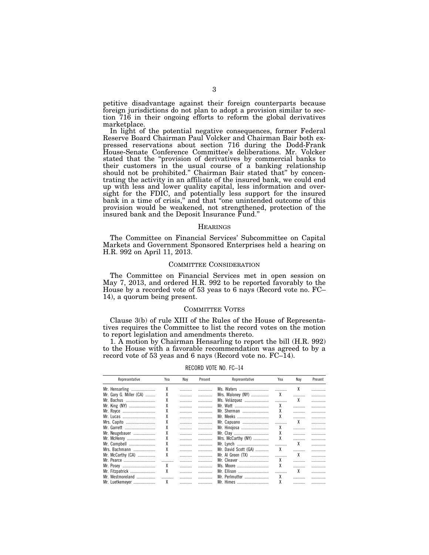petitive disadvantage against their foreign counterparts because foreign jurisdictions do not plan to adopt a provision similar to section 716 in their ongoing efforts to reform the global derivatives marketplace.

In light of the potential negative consequences, former Federal Reserve Board Chairman Paul Volcker and Chairman Bair both expressed reservations about section 716 during the Dodd-Frank House-Senate Conference Committee's deliberations. Mr. Volcker stated that the ''provision of derivatives by commercial banks to their customers in the usual course of a banking relationship should not be prohibited.'' Chairman Bair stated that'' by concentrating the activity in an affiliate of the insured bank, we could end up with less and lower quality capital, less information and oversight for the FDIC, and potentially less support for the insured bank in a time of crisis,'' and that ''one unintended outcome of this provision would be weakened, not strengthened, protection of the insured bank and the Deposit Insurance Fund.''

#### **HEARINGS**

The Committee on Financial Services' Subcommittee on Capital Markets and Government Sponsored Enterprises held a hearing on H.R. 992 on April 11, 2013.

#### COMMITTEE CONSIDERATION

The Committee on Financial Services met in open session on May 7, 2013, and ordered H.R. 992 to be reported favorably to the House by a recorded vote of 53 yeas to 6 nays (Record vote no. FC– 14), a quorum being present.

#### COMMITTEE VOTES

Clause 3(b) of rule XIII of the Rules of the House of Representatives requires the Committee to list the record votes on the motion to report legislation and amendments thereto.

1. A motion by Chairman Hensarling to report the bill (H.R. 992) to the House with a favorable recommendation was agreed to by a record vote of 53 yeas and 6 nays (Record vote no. FC–14).

| Representative          | Yea | Nay | Present | Representative       | Yea | Nay | Present |
|-------------------------|-----|-----|---------|----------------------|-----|-----|---------|
|                         | χ   |     |         | Ms. Waters           |     | X   |         |
| Mr. Gary G. Miller (CA) | χ   |     | .       |                      |     |     |         |
| Mr. Bachus              |     |     | .       |                      |     |     | .       |
| Mr. King (NY)           | χ   |     | .       |                      | χ   |     |         |
| Mr. Royce               | χ   | .   |         | Mr. Sherman          | х   |     |         |
| Mr. Lucas               | χ   |     |         | Mr. Meeks            | χ   |     | .       |
| Mrs. Capito             |     | .   |         | Mr. Capuano          | .   | X   |         |
| Mr. Garrett             |     |     | .       | Mr. Hinojosa         | X   |     |         |
| Mr. Neugebauer          |     |     | .       | Mr. Clay             | X   |     |         |
| Mr. McHenry             | χ   | .   | .       | Mrs. McCarthy (NY)   | Х   |     | .       |
| Mr. Campbell            | χ   |     |         |                      |     | X   |         |
| Mrs. Bachmann           | χ   | .   |         | Mr. David Scott (GA) | X   |     |         |
| Mr. McCarthy (CA)       | χ   |     | .       |                      |     | X   |         |
| Mr. Pearce              |     |     |         | Mr. Cleaver          | X   |     |         |
| Mr. Posey               | X   |     | .       | Ms. Moore            | χ   |     |         |
| Mr. Fitzpatrick         | X   | .   | .       | Mr. Ellison          |     | χ   |         |
| Mr. Westmoreland        |     | .   |         | Mr. Perlmutter       | x   |     |         |
| Mr. Luetkemeyer         | X   |     |         | Mr. Himes            | χ   |     |         |
|                         |     |     |         |                      |     |     |         |

RECORD VOTE NO. FC–14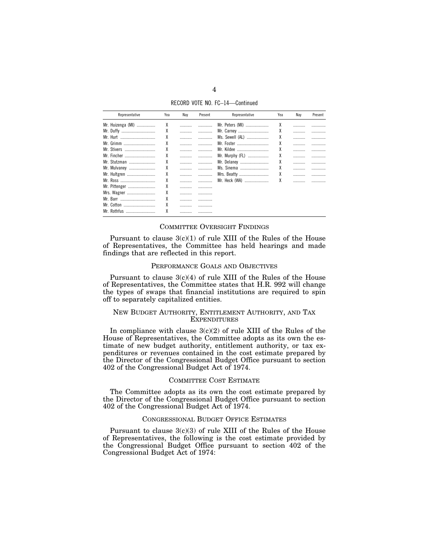RECORD VOTE NO. FC–14—Continued

| Representative    | Yea | Nay | Present | Representative  | Yea | Nay | Present |
|-------------------|-----|-----|---------|-----------------|-----|-----|---------|
| Mr. Huizenga (MI) | χ   |     |         | Mr. Peters (MI) | χ   |     |         |
| Mr. Duffy         | χ   |     |         | Mr. Carney      | χ   |     |         |
| Mr. Hurt          | χ   |     |         | Ms. Sewell (AL) | χ   |     |         |
| Mr. Grimm         | χ   |     |         | Mr. Foster      | χ   |     |         |
| Mr. Stivers       | χ   |     | .       | Mr. Kildee      | χ   |     |         |
|                   | χ   |     |         | Mr. Murphy (FL) | Х   |     |         |
| Mr. Stutzman      | χ   |     |         | Mr. Delaney     | χ   |     |         |
| Mr. Mulvaney      | χ   |     |         | Ms. Sinema      | χ   |     |         |
| Mr. Hultgren      | χ   |     | .       | Mrs. Beatty     | χ   |     |         |
|                   | χ   |     |         | Mr. Heck (WA)   | χ   |     |         |
| Mr. Pittenger     | χ   |     |         |                 |     |     |         |
| Mrs. Wagner       | χ   |     |         |                 |     |     |         |
|                   |     |     |         |                 |     |     |         |
| Mr. Cotton        | χ   |     |         |                 |     |     |         |
| Mr. Rothfus<br>   | λ   |     |         |                 |     |     |         |

#### COMMITTEE OVERSIGHT FINDINGS

Pursuant to clause  $3(c)(1)$  of rule XIII of the Rules of the House of Representatives, the Committee has held hearings and made findings that are reflected in this report.

#### PERFORMANCE GOALS AND OBJECTIVES

Pursuant to clause  $3(c)(4)$  of rule XIII of the Rules of the House of Representatives, the Committee states that H.R. 992 will change the types of swaps that financial institutions are required to spin off to separately capitalized entities.

#### NEW BUDGET AUTHORITY, ENTITLEMENT AUTHORITY, AND TAX **EXPENDITURES**

In compliance with clause  $3(c)(2)$  of rule XIII of the Rules of the House of Representatives, the Committee adopts as its own the estimate of new budget authority, entitlement authority, or tax expenditures or revenues contained in the cost estimate prepared by the Director of the Congressional Budget Office pursuant to section 402 of the Congressional Budget Act of 1974.

#### COMMITTEE COST ESTIMATE

The Committee adopts as its own the cost estimate prepared by the Director of the Congressional Budget Office pursuant to section 402 of the Congressional Budget Act of 1974.

#### CONGRESSIONAL BUDGET OFFICE ESTIMATES

Pursuant to clause  $3(c)(3)$  of rule XIII of the Rules of the House of Representatives, the following is the cost estimate provided by the Congressional Budget Office pursuant to section 402 of the Congressional Budget Act of 1974: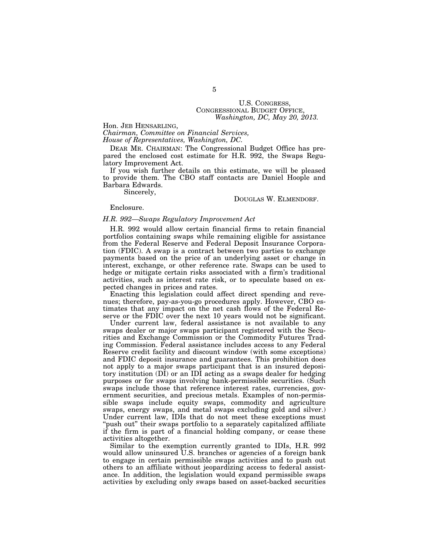# U.S. CONGRESS, CONGRESSIONAL BUDGET OFFICE, *Washington, DC, May 20, 2013.*

Hon. JEB HENSARLING,

*Chairman, Committee on Financial Services, House of Representatives, Washington, DC.* 

DEAR MR. CHAIRMAN: The Congressional Budget Office has prepared the enclosed cost estimate for H.R. 992, the Swaps Regulatory Improvement Act.

If you wish further details on this estimate, we will be pleased to provide them. The CBO staff contacts are Daniel Hoople and Barbara Edwards.

Sincerely,

#### DOUGLAS W. ELMENDORF.

#### Enclosure.

#### *H.R. 992—Swaps Regulatory Improvement Act*

H.R. 992 would allow certain financial firms to retain financial portfolios containing swaps while remaining eligible for assistance from the Federal Reserve and Federal Deposit Insurance Corporation (FDIC). A swap is a contract between two parties to exchange payments based on the price of an underlying asset or change in interest, exchange, or other reference rate. Swaps can be used to hedge or mitigate certain risks associated with a firm's traditional activities, such as interest rate risk, or to speculate based on expected changes in prices and rates.

Enacting this legislation could affect direct spending and revenues; therefore, pay-as-you-go procedures apply. However, CBO estimates that any impact on the net cash flows of the Federal Reserve or the FDIC over the next 10 years would not be significant.

Under current law, federal assistance is not available to any swaps dealer or major swaps participant registered with the Securities and Exchange Commission or the Commodity Futures Trading Commission. Federal assistance includes access to any Federal Reserve credit facility and discount window (with some exceptions) and FDIC deposit insurance and guarantees. This prohibition does not apply to a major swaps participant that is an insured depository institution (DI) or an IDI acting as a swaps dealer for hedging purposes or for swaps involving bank-permissible securities. (Such swaps include those that reference interest rates, currencies, government securities, and precious metals. Examples of non-permissible swaps include equity swaps, commodity and agriculture swaps, energy swaps, and metal swaps excluding gold and silver.) Under current law, IDIs that do not meet these exceptions must "push out" their swaps portfolio to a separately capitalized affiliate if the firm is part of a financial holding company, or cease these activities altogether.

Similar to the exemption currently granted to IDIs, H.R. 992 would allow uninsured U.S. branches or agencies of a foreign bank to engage in certain permissible swaps activities and to push out others to an affiliate without jeopardizing access to federal assistance. In addition, the legislation would expand permissible swaps activities by excluding only swaps based on asset-backed securities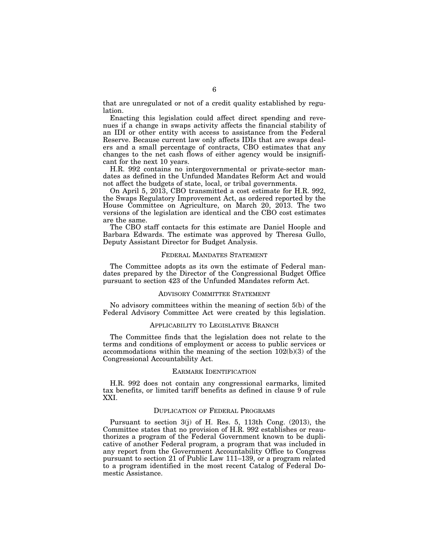that are unregulated or not of a credit quality established by regulation.

Enacting this legislation could affect direct spending and revenues if a change in swaps activity affects the financial stability of an IDI or other entity with access to assistance from the Federal Reserve. Because current law only affects IDIs that are swaps dealers and a small percentage of contracts, CBO estimates that any changes to the net cash flows of either agency would be insignificant for the next 10 years.

H.R. 992 contains no intergovernmental or private-sector mandates as defined in the Unfunded Mandates Reform Act and would not affect the budgets of state, local, or tribal governments.

On April 5, 2013, CBO transmitted a cost estimate for H.R. 992, the Swaps Regulatory Improvement Act, as ordered reported by the House Committee on Agriculture, on March 20, 2013. The two versions of the legislation are identical and the CBO cost estimates are the same.

The CBO staff contacts for this estimate are Daniel Hoople and Barbara Edwards. The estimate was approved by Theresa Gullo, Deputy Assistant Director for Budget Analysis.

#### FEDERAL MANDATES STATEMENT

The Committee adopts as its own the estimate of Federal mandates prepared by the Director of the Congressional Budget Office pursuant to section 423 of the Unfunded Mandates reform Act.

#### ADVISORY COMMITTEE STATEMENT

No advisory committees within the meaning of section 5(b) of the Federal Advisory Committee Act were created by this legislation.

#### APPLICABILITY TO LEGISLATIVE BRANCH

The Committee finds that the legislation does not relate to the terms and conditions of employment or access to public services or accommodations within the meaning of the section 102(b)(3) of the Congressional Accountability Act.

#### EARMARK IDENTIFICATION

H.R. 992 does not contain any congressional earmarks, limited tax benefits, or limited tariff benefits as defined in clause 9 of rule XXI.

#### DUPLICATION OF FEDERAL PROGRAMS

Pursuant to section 3(j) of H. Res. 5, 113th Cong. (2013), the Committee states that no provision of H.R. 992 establishes or reauthorizes a program of the Federal Government known to be duplicative of another Federal program, a program that was included in any report from the Government Accountability Office to Congress pursuant to section 21 of Public Law 111–139, or a program related to a program identified in the most recent Catalog of Federal Domestic Assistance.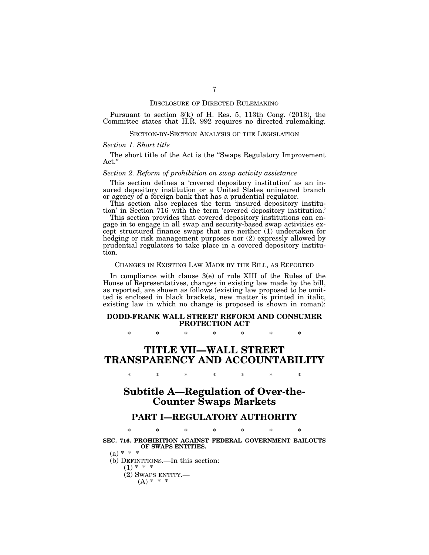#### DISCLOSURE OF DIRECTED RULEMAKING

Pursuant to section 3(k) of H. Res. 5, 113th Cong. (2013), the Committee states that H.R. 992 requires no directed rulemaking.

#### SECTION-BY-SECTION ANALYSIS OF THE LEGISLATION

#### *Section 1. Short title*

The short title of the Act is the ''Swaps Regulatory Improvement Act.''

#### *Section 2. Reform of prohibition on swap activity assistance*

This section defines a 'covered depository institution' as an insured depository institution or a United States uninsured branch or agency of a foreign bank that has a prudential regulator.

This section also replaces the term 'insured depository institution' in Section 716 with the term 'covered depository institution.'

This section provides that covered depository institutions can engage in to engage in all swap and security-based swap activities except structured finance swaps that are neither (1) undertaken for hedging or risk management purposes nor (2) expressly allowed by prudential regulators to take place in a covered depository institution.

#### CHANGES IN EXISTING LAW MADE BY THE BILL, AS REPORTED

In compliance with clause 3(e) of rule XIII of the Rules of the House of Representatives, changes in existing law made by the bill, as reported, are shown as follows (existing law proposed to be omitted is enclosed in black brackets, new matter is printed in italic, existing law in which no change is proposed is shown in roman):

#### **DODD-FRANK WALL STREET REFORM AND CONSUMER PROTECTION ACT**

\* \* \* \* \* \* \*

# **TITLE VII—WALL STREET TRANSPARENCY AND ACCOUNTABILITY**

\* \* \* \* \* \* \*

# **Subtitle A—Regulation of Over-the-Counter Swaps Markets**

## **PART I—REGULATORY AUTHORITY**

## \* \* \* \* \* \* \* **SEC. 716. PROHIBITION AGAINST FEDERAL GOVERNMENT BAILOUTS OF SWAPS ENTITIES.**

 $(a) * * * *$ 

(b) DEFINITIONS.—In this section:

 $(1) * * * *$ 

- (2) SWAPS ENTITY.—
	- $(A) * * * *$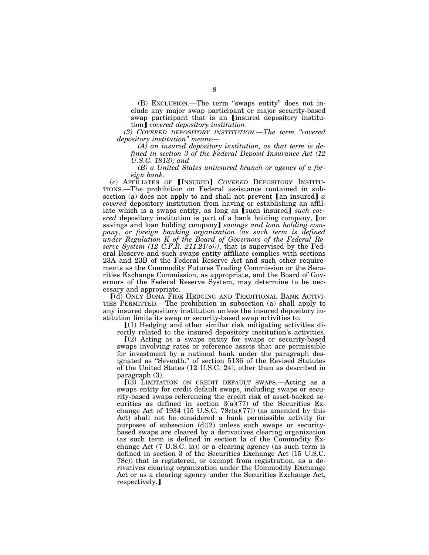(B) EXCLUSION.—The term ''swaps entity'' does not include any major swap participant or major security-based swap participant that is an [insured depository institution¿ *covered depository institution*.

*(3) COVERED DEPOSITORY INSTITUTION.—The term ''covered depository institution'' means—* 

*(A) an insured depository institution, as that term is defined in section 3 of the Federal Deposit Insurance Act (12 U.S.C. 1813); and* 

*(B) a United States uninsured branch or agency of a foreign bank.* 

(c) AFFILIATES OF **[INSURED]** COVERED DEPOSITORY INSTITU-TIONS.—The prohibition on Federal assistance contained in subsection (a) does not apply to and shall not prevent  $[$ an insured $]$   $\alpha$ *covered* depository institution from having or establishing an affil-<br>iate which is a swaps entity, as long as [such insured] *such covered* depository institution is part of a bank holding company, [or savings and loan holding company] savings and loan holding company, or foreign banking organization (as such term is defined *under Regulation K of the Board of Governors of the Federal Reserve System (12 C.F.R. 211.21(o)))*, that is supervised by the Federal Reserve and such swaps entity affiliate complies with sections 23A and 23B of the Federal Reserve Act and such other requirements as the Commodity Futures Trading Commission or the Securities Exchange Commission, as appropriate, and the Board of Governors of the Federal Reserve System, may determine to be necessary and appropriate.

ø(d) ONLY BONA FIDE HEDGING AND TRADITIONAL BANK ACTIVI-TIES PERMITTED.—The prohibition in subsection (a) shall apply to any insured depository institution unless the insured depository institution limits its swap or security-based swap activities to:

 $\mathcal{L}(1)$  Hedging and other similar risk mitigating activities di-

rectly related to the insured depository institution's activities.

 $(2)$  Acting as a swaps entity for swaps or security-based swaps involving rates or reference assets that are permissible for investment by a national bank under the paragraph designated as ''Seventh.'' of section 5136 of the Revised Statutes of the United States (12 U.S.C. 24), other than as described in paragraph (3).

 $(3)$  LIMITATION ON CREDIT DEFAULT SWAPS.—Acting as a swaps entity for credit default swaps, including swaps or security-based swaps referencing the credit risk of asset-backed securities as defined in section 3(a)(77) of the Securities Exchange Act of 1934 (15 U.S.C.  $78c(a)(77)$ ) (as amended by this Act) shall not be considered a bank permissible activity for purposes of subsection  $(d)(2)$  unless such swaps or securitybased swaps are cleared by a derivatives clearing organization (as such term is defined in section la of the Commodity Exchange Act (7 U.S.C. la)) or a clearing agency (as such term is defined in section 3 of the Securities Exchange Act (15 U.S.C. 78c)) that is registered, or exempt from registration, as a derivatives clearing organization under the Commodity Exchange Act or as a clearing agency under the Securities Exchange Act, respectively.]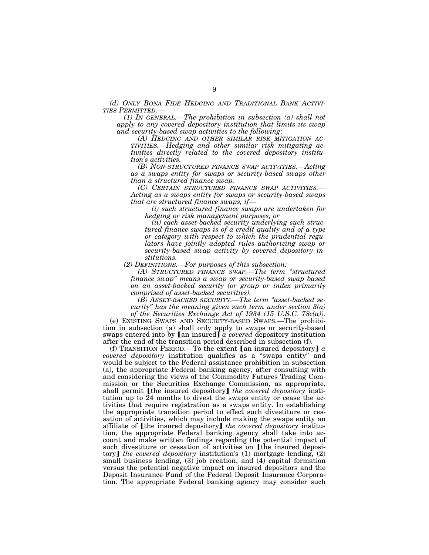*(d) ONLY BONA FIDE HEDGING AND TRADITIONAL BANK ACTIVI-*

 $I(1)$  In GENERAL.—The prohibition in subsection (a) shall not *apply to any covered depository institution that limits its swap and security-based swap activities to the following:* 

*(A) HEDGING AND OTHER SIMILAR RISK MITIGATION AC- TIVITIES.—Hedging and other similar risk mitigating activities directly related to the covered depository institution's activities.* 

*(B) NON-STRUCTURED FINANCE SWAP ACTIVITIES.—Acting as a swaps entity for swaps or security-based swaps other than a structured finance swap.* 

*(C) CERTAIN STRUCTURED FINANCE SWAP ACTIVITIES.— Acting as a swaps entity for swaps or security-based swaps that are structured finance swaps, if—* 

*(i) such structured finance swaps are undertaken for hedging or risk management purposes; or* 

*(ii) each asset-backed security underlying such structured finance swaps is of a credit quality and of a type or category with respect to which the prudential regulators have jointly adopted rules authorizing swap or security-based swap activity by covered depository institutions.* 

*(2) DEFINITIONS.—For purposes of this subsection:* 

*(A) STRUCTURED FINANCE SWAP.—The term ''structured finance swap'' means a swap or security-based swap based on an asset-backed security (or group or index primarily comprised of asset-backed securities).* 

*(B) ASSET-BACKED SECURITY.—The term ''asset-backed security'' has the meaning given such term under section 3(a) of the Securities Exchange Act of 1934 (15 U.S.C. 78c(a)).* 

(e) EXISTING SWAPS AND SECURITY-BASED SWAPS.—The prohibition in subsection (a) shall only apply to swaps or security-based swaps entered into by  $\llbracket$  an insured  $\rrbracket$  *a covered* depository institution after the end of the transition period described in subsection (f).

(f) TRANSITION PERIOD.—To the extent  $[$ an insured depository $] a$ *covered depository* institution qualifies as a ''swaps entity'' and would be subject to the Federal assistance prohibition in subsection (a), the appropriate Federal banking agency, after consulting with and considering the views of the Commodity Futures Trading Commission or the Securities Exchange Commission, as appropriate, shall permit *[the insured depository] the covered depository* institution up to 24 months to divest the swaps entity or cease the activities that require registration as a swaps entity. In establishing the appropriate transition period to effect such divestiture or cessation of activities, which may include making the swaps entity an affiliate of **[the insured depository]** the covered depository institution, the appropriate Federal banking agency shall take into account and make written findings regarding the potential impact of such divestiture or cessation of activities on [the insured depository] the covered depository institution's (1) mortgage lending, (2) small business lending, (3) job creation, and (4) capital formation versus the potential negative impact on insured depositors and the Deposit Insurance Fund of the Federal Deposit Insurance Corporation. The appropriate Federal banking agency may consider such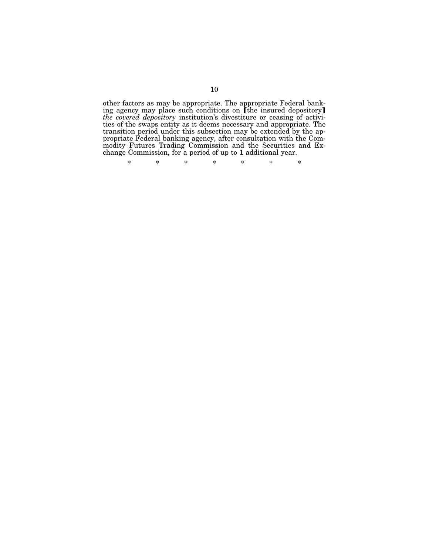other factors as may be appropriate. The appropriate Federal bank-<br>ing agency may place such conditions on [the insured depository] *the covered depository* institution's divestiture or ceasing of activities of the swaps entity as it deems necessary and appropriate. The transition period under this subsection may be extended by the appropriate Federal banking agency, after consultation with the Commodity Futures Trading Commission and the Securities and Exchange Commission, for a period of up to 1 additional year.

\* \* \* \* \* \* \*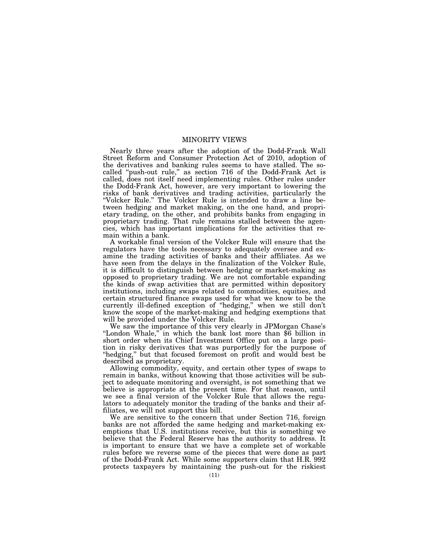## MINORITY VIEWS

Nearly three years after the adoption of the Dodd-Frank Wall Street Reform and Consumer Protection Act of 2010, adoption of the derivatives and banking rules seems to have stalled. The socalled "push-out rule," as section 716 of the Dodd-Frank Act is called, does not itself need implementing rules. Other rules under the Dodd-Frank Act, however, are very important to lowering the risks of bank derivatives and trading activities, particularly the ''Volcker Rule.'' The Volcker Rule is intended to draw a line between hedging and market making, on the one hand, and proprietary trading, on the other, and prohibits banks from engaging in proprietary trading. That rule remains stalled between the agencies, which has important implications for the activities that remain within a bank.

A workable final version of the Volcker Rule will ensure that the regulators have the tools necessary to adequately oversee and examine the trading activities of banks and their affiliates. As we have seen from the delays in the finalization of the Volcker Rule, it is difficult to distinguish between hedging or market-making as opposed to proprietary trading. We are not comfortable expanding the kinds of swap activities that are permitted within depository institutions, including swaps related to commodities, equities, and certain structured finance swaps used for what we know to be the currently ill-defined exception of "hedging," when we still don't know the scope of the market-making and hedging exemptions that will be provided under the Volcker Rule.

We saw the importance of this very clearly in JPMorgan Chase's ''London Whale,'' in which the bank lost more than \$6 billion in short order when its Chief Investment Office put on a large position in risky derivatives that was purportedly for the purpose of "hedging," but that focused foremost on profit and would best be described as proprietary.

Allowing commodity, equity, and certain other types of swaps to remain in banks, without knowing that those activities will be subject to adequate monitoring and oversight, is not something that we believe is appropriate at the present time. For that reason, until we see a final version of the Volcker Rule that allows the regulators to adequately monitor the trading of the banks and their affiliates, we will not support this bill.

We are sensitive to the concern that under Section 716, foreign banks are not afforded the same hedging and market-making exemptions that U.S. institutions receive, but this is something we believe that the Federal Reserve has the authority to address. It is important to ensure that we have a complete set of workable rules before we reverse some of the pieces that were done as part of the Dodd-Frank Act. While some supporters claim that H.R. 992 protects taxpayers by maintaining the push-out for the riskiest